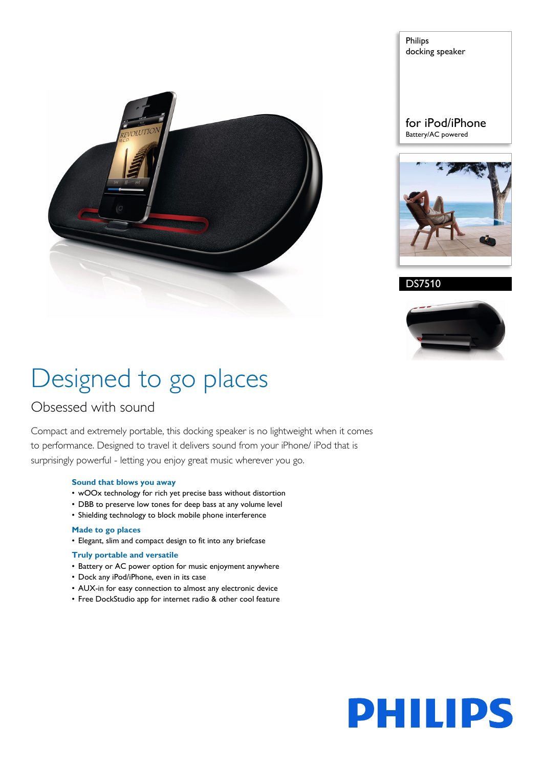

Philips docking speaker

for iPod/iPhone Battery/AC powered



DS7510



# Designed to go places

### Obsessed with sound

Compact and extremely portable, this docking speaker is no lightweight when it comes to performance. Designed to travel it delivers sound from your iPhone/ iPod that is surprisingly powerful - letting you enjoy great music wherever you go.

#### **Sound that blows you away**

- wOOx technology for rich yet precise bass without distortion
- DBB to preserve low tones for deep bass at any volume level
- Shielding technology to block mobile phone interference

#### **Made to go places**

• Elegant, slim and compact design to fit into any briefcase

#### **Truly portable and versatile**

- Battery or AC power option for music enjoyment anywhere
- Dock any iPod/iPhone, even in its case
- AUX-in for easy connection to almost any electronic device
- Free DockStudio app for internet radio & other cool feature